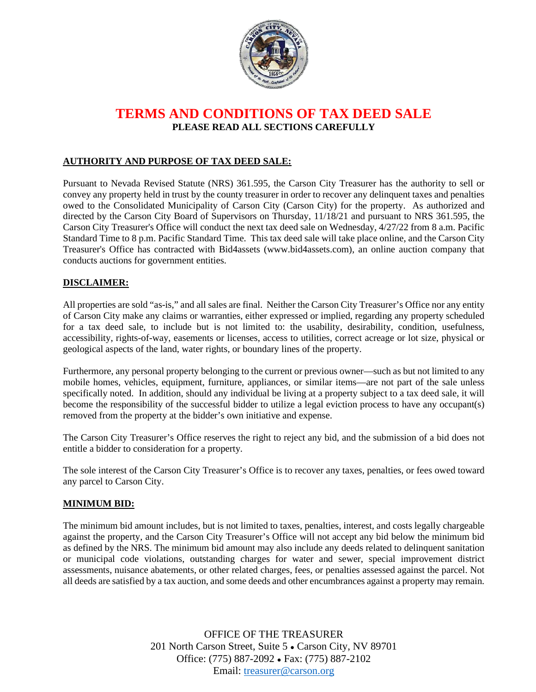

# **TERMS AND CONDITIONS OF TAX DEED SALE PLEASE READ ALL SECTIONS CAREFULLY**

## **AUTHORITY AND PURPOSE OF TAX DEED SALE:**

Pursuant to Nevada Revised Statute (NRS) 361.595, the Carson City Treasurer has the authority to sell or convey any property held in trust by the county treasurer in order to recover any delinquent taxes and penalties owed to the Consolidated Municipality of Carson City (Carson City) for the property. As authorized and directed by the Carson City Board of Supervisors on Thursday, 11/18/21 and pursuant to NRS 361.595, the Carson City Treasurer's Office will conduct the next tax deed sale on Wednesday, 4/27/22 from 8 a.m. Pacific Standard Time to 8 p.m. Pacific Standard Time. This tax deed sale will take place online, and the Carson City Treasurer's Office has contracted with Bid4assets (www.bid4assets.com), an online auction company that conducts auctions for government entities.

### **DISCLAIMER:**

All properties are sold "as-is," and all sales are final. Neither the Carson City Treasurer's Office nor any entity of Carson City make any claims or warranties, either expressed or implied, regarding any property scheduled for a tax deed sale, to include but is not limited to: the usability, desirability, condition, usefulness, accessibility, rights-of-way, easements or licenses, access to utilities, correct acreage or lot size, physical or geological aspects of the land, water rights, or boundary lines of the property.

Furthermore, any personal property belonging to the current or previous owner—such as but not limited to any mobile homes, vehicles, equipment, furniture, appliances, or similar items—are not part of the sale unless specifically noted. In addition, should any individual be living at a property subject to a tax deed sale, it will become the responsibility of the successful bidder to utilize a legal eviction process to have any occupant(s) removed from the property at the bidder's own initiative and expense.

The Carson City Treasurer's Office reserves the right to reject any bid, and the submission of a bid does not entitle a bidder to consideration for a property.

The sole interest of the Carson City Treasurer's Office is to recover any taxes, penalties, or fees owed toward any parcel to Carson City.

#### **MINIMUM BID:**

The minimum bid amount includes, but is not limited to taxes, penalties, interest, and costs legally chargeable against the property, and the Carson City Treasurer's Office will not accept any bid below the minimum bid as defined by the NRS. The minimum bid amount may also include any deeds related to delinquent sanitation or municipal code violations, outstanding charges for water and sewer, special improvement district assessments, nuisance abatements, or other related charges, fees, or penalties assessed against the parcel. Not all deeds are satisfied by a tax auction, and some deeds and other encumbrances against a property may remain.

> OFFICE OF THE TREASURER 201 North Carson Street, Suite 5 ● Carson City, NV 89701 Office: (775) 887-2092 ● Fax: (775) 887-2102 Email: [treasurer@carson.org](mailto:treasurer@carson.org)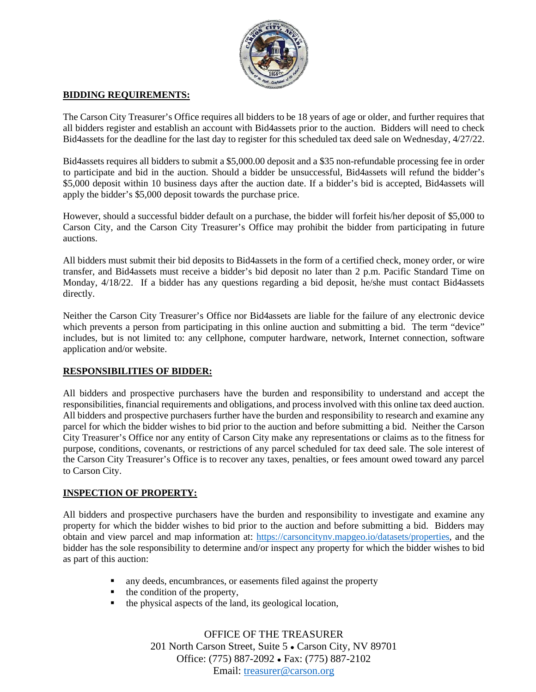

#### **BIDDING REQUIREMENTS:**

The Carson City Treasurer's Office requires all bidders to be 18 years of age or older, and further requires that all bidders register and establish an account with Bid4assets prior to the auction. Bidders will need to check Bid4assets for the deadline for the last day to register for this scheduled tax deed sale on Wednesday, 4/27/22.

Bid4assets requires all bidders to submit a \$5,000.00 deposit and a \$35 non-refundable processing fee in order to participate and bid in the auction. Should a bidder be unsuccessful, Bid4assets will refund the bidder's \$5,000 deposit within 10 business days after the auction date. If a bidder's bid is accepted, Bid4assets will apply the bidder's \$5,000 deposit towards the purchase price.

However, should a successful bidder default on a purchase, the bidder will forfeit his/her deposit of \$5,000 to Carson City, and the Carson City Treasurer's Office may prohibit the bidder from participating in future auctions.

All bidders must submit their bid deposits to Bid4assets in the form of a certified check, money order, or wire transfer, and Bid4assets must receive a bidder's bid deposit no later than 2 p.m. Pacific Standard Time on Monday, 4/18/22. If a bidder has any questions regarding a bid deposit, he/she must contact Bid4assets directly.

Neither the Carson City Treasurer's Office nor Bid4assets are liable for the failure of any electronic device which prevents a person from participating in this online auction and submitting a bid. The term "device" includes, but is not limited to: any cellphone, computer hardware, network, Internet connection, software application and/or website.

#### **RESPONSIBILITIES OF BIDDER:**

All bidders and prospective purchasers have the burden and responsibility to understand and accept the responsibilities, financial requirements and obligations, and process involved with this online tax deed auction. All bidders and prospective purchasers further have the burden and responsibility to research and examine any parcel for which the bidder wishes to bid prior to the auction and before submitting a bid. Neither the Carson City Treasurer's Office nor any entity of Carson City make any representations or claims as to the fitness for purpose, conditions, covenants, or restrictions of any parcel scheduled for tax deed sale. The sole interest of the Carson City Treasurer's Office is to recover any taxes, penalties, or fees amount owed toward any parcel to Carson City.

## **INSPECTION OF PROPERTY:**

All bidders and prospective purchasers have the burden and responsibility to investigate and examine any property for which the bidder wishes to bid prior to the auction and before submitting a bid. Bidders may obtain and view parcel and map information at: [https://carsoncitynv.mapgeo.io/datasets/properties,](https://carsoncitynv.mapgeo.io/datasets/properties) and the bidder has the sole responsibility to determine and/or inspect any property for which the bidder wishes to bid as part of this auction:

- any deeds, encumbrances, or easements filed against the property
- $\blacksquare$  the condition of the property,
- $\blacksquare$  the physical aspects of the land, its geological location,

OFFICE OF THE TREASURER 201 North Carson Street, Suite 5 ● Carson City, NV 89701 Office: (775) 887-2092 ● Fax: (775) 887-2102 Email: [treasurer@carson.org](mailto:treasurer@carson.org)